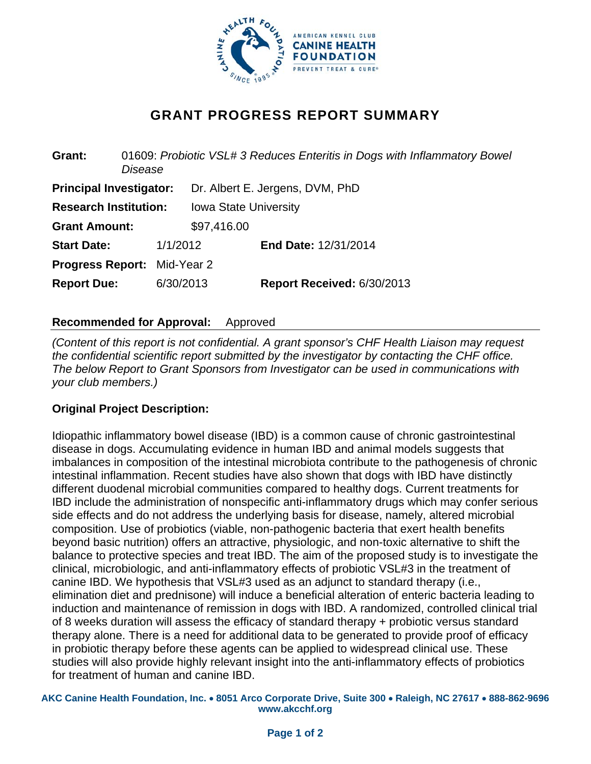

# **GRANT PROGRESS REPORT SUMMARY**

| Grant:                         | 01609: Probiotic VSL# 3 Reduces Enteritis in Dogs with Inflammatory Bowel<br>Disease |           |                                 |                             |  |
|--------------------------------|--------------------------------------------------------------------------------------|-----------|---------------------------------|-----------------------------|--|
| <b>Principal Investigator:</b> |                                                                                      |           | Dr. Albert E. Jergens, DVM, PhD |                             |  |
| <b>Research Institution:</b>   |                                                                                      |           | <b>Iowa State University</b>    |                             |  |
| <b>Grant Amount:</b>           |                                                                                      |           | \$97,416.00                     |                             |  |
| <b>Start Date:</b>             |                                                                                      | 1/1/2012  |                                 | <b>End Date: 12/31/2014</b> |  |
|                                | <b>Progress Report: Mid-Year 2</b>                                                   |           |                                 |                             |  |
| <b>Report Due:</b>             |                                                                                      | 6/30/2013 |                                 | Report Received: 6/30/2013  |  |
|                                |                                                                                      |           |                                 |                             |  |

## **Recommended for Approval:** Approved

*(Content of this report is not confidential. A grant sponsor's CHF Health Liaison may request the confidential scientific report submitted by the investigator by contacting the CHF office. The below Report to Grant Sponsors from Investigator can be used in communications with your club members.)* 

## **Original Project Description:**

Idiopathic inflammatory bowel disease (IBD) is a common cause of chronic gastrointestinal disease in dogs. Accumulating evidence in human IBD and animal models suggests that imbalances in composition of the intestinal microbiota contribute to the pathogenesis of chronic intestinal inflammation. Recent studies have also shown that dogs with IBD have distinctly different duodenal microbial communities compared to healthy dogs. Current treatments for IBD include the administration of nonspecific anti-inflammatory drugs which may confer serious side effects and do not address the underlying basis for disease, namely, altered microbial composition. Use of probiotics (viable, non-pathogenic bacteria that exert health benefits beyond basic nutrition) offers an attractive, physiologic, and non-toxic alternative to shift the balance to protective species and treat IBD. The aim of the proposed study is to investigate the clinical, microbiologic, and anti-inflammatory effects of probiotic VSL#3 in the treatment of canine IBD. We hypothesis that VSL#3 used as an adjunct to standard therapy (i.e., elimination diet and prednisone) will induce a beneficial alteration of enteric bacteria leading to induction and maintenance of remission in dogs with IBD. A randomized, controlled clinical trial of 8 weeks duration will assess the efficacy of standard therapy + probiotic versus standard therapy alone. There is a need for additional data to be generated to provide proof of efficacy in probiotic therapy before these agents can be applied to widespread clinical use. These studies will also provide highly relevant insight into the anti-inflammatory effects of probiotics for treatment of human and canine IBD.

**AKC Canine Health Foundation, Inc.** • **8051 Arco Corporate Drive, Suite 300** • **Raleigh, NC 27617** • **888-862-9696 www.akcchf.org**